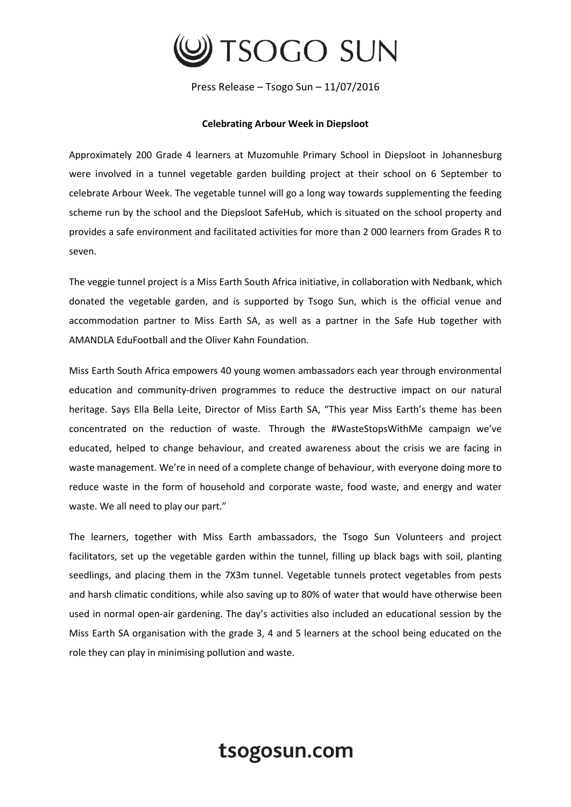

Press Release – Tsogo Sun – 11/07/2016

## **Celebrating Arbour Week in Diepsloot**

Approximately 200 Grade 4 learners at Muzomuhle Primary School in Diepsloot in Johannesburg were involved in a tunnel vegetable garden building project at their school on 6 September to celebrate Arbour Week. The vegetable tunnel will go a long way towards supplementing the feeding scheme run by the school and the Diepsloot SafeHub, which is situated on the school property and provides a safe environment and facilitated activities for more than 2 000 learners from Grades R to seven.

The veggie tunnel project is a Miss Earth South Africa initiative, in collaboration with Nedbank, which donated the vegetable garden, and is supported by Tsogo Sun, which is the official venue and accommodation partner to Miss Earth SA, as well as a partner in the Safe Hub together with AMANDLA EduFootball and the Oliver Kahn Foundation.

Miss Earth South Africa empowers 40 young women ambassadors each year through environmental education and community-driven programmes to reduce the destructive impact on our natural heritage. Says Ella Bella Leite, Director of Miss Earth SA, "This year Miss Earth's theme has been concentrated on the reduction of waste. Through the #WasteStopsWithMe campaign we've educated, helped to change behaviour, and created awareness about the crisis we are facing in waste management. We're in need of a complete change of behaviour, with everyone doing more to reduce waste in the form of household and corporate waste, food waste, and energy and water waste. We all need to play our part."

The learners, together with Miss Earth ambassadors, the Tsogo Sun Volunteers and project facilitators, set up the vegetable garden within the tunnel, filling up black bags with soil, planting seedlings, and placing them in the 7X3m tunnel. Vegetable tunnels protect vegetables from pests and harsh climatic conditions, while also saving up to 80% of water that would have otherwise been used in normal open-air gardening. The day's activities also included an educational session by the Miss Earth SA organisation with the grade 3, 4 and 5 learners at the school being educated on the role they can play in minimising pollution and waste.

## tsogosun.com